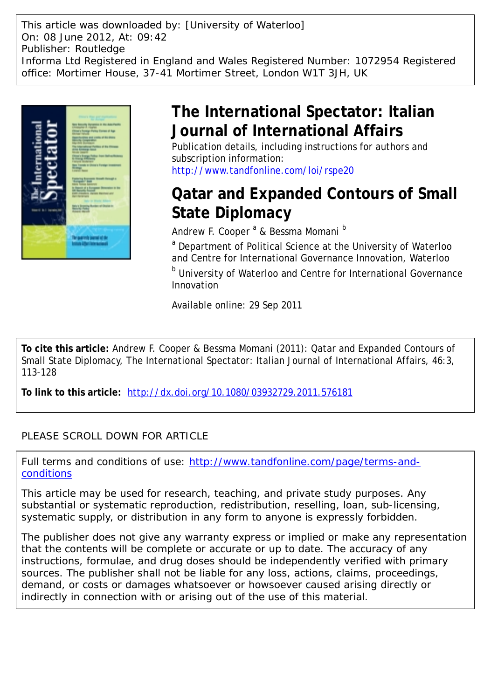This article was downloaded by: [University of Waterloo] On: 08 June 2012, At: 09:42 Publisher: Routledge Informa Ltd Registered in England and Wales Registered Number: 1072954 Registered office: Mortimer House, 37-41 Mortimer Street, London W1T 3JH, UK



# **The International Spectator: Italian Journal of International Affairs**

Publication details, including instructions for authors and subscription information:

<http://www.tandfonline.com/loi/rspe20>

# **Qatar and Expanded Contours of Small State Diplomacy**

Andrew F. Cooper <sup>a</sup> & Bessma Momani<sup>b</sup>

<sup>a</sup> Department of Political Science at the University of Waterloo and Centre for International Governance Innovation, Waterloo

**b** University of Waterloo and Centre for International Governance **Innovation** 

Available online: 29 Sep 2011

**To cite this article:** Andrew F. Cooper & Bessma Momani (2011): Qatar and Expanded Contours of Small State Diplomacy, The International Spectator: Italian Journal of International Affairs, 46:3, 113-128

**To link to this article:** <http://dx.doi.org/10.1080/03932729.2011.576181>

# PLEASE SCROLL DOWN FOR ARTICLE

Full terms and conditions of use: [http://www.tandfonline.com/page/terms-and](http://www.tandfonline.com/page/terms-and-conditions)[conditions](http://www.tandfonline.com/page/terms-and-conditions)

This article may be used for research, teaching, and private study purposes. Any substantial or systematic reproduction, redistribution, reselling, loan, sub-licensing, systematic supply, or distribution in any form to anyone is expressly forbidden.

The publisher does not give any warranty express or implied or make any representation that the contents will be complete or accurate or up to date. The accuracy of any instructions, formulae, and drug doses should be independently verified with primary sources. The publisher shall not be liable for any loss, actions, claims, proceedings, demand, or costs or damages whatsoever or howsoever caused arising directly or indirectly in connection with or arising out of the use of this material.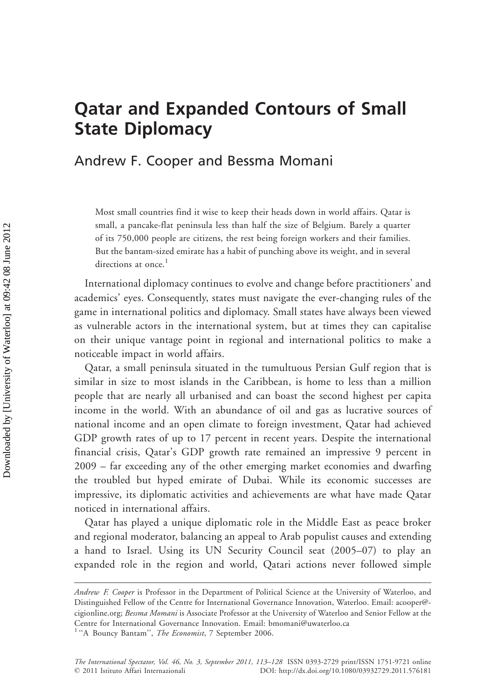# Qatar and Expanded Contours of Small State Diplomacy

Andrew F. Cooper and Bessma Momani

Most small countries find it wise to keep their heads down in world affairs. Qatar is small, a pancake-flat peninsula less than half the size of Belgium. Barely a quarter of its 750,000 people are citizens, the rest being foreign workers and their families. But the bantam-sized emirate has a habit of punching above its weight, and in several directions at once. $<sup>1</sup>$ </sup>

International diplomacy continues to evolve and change before practitioners' and academics' eyes. Consequently, states must navigate the ever-changing rules of the game in international politics and diplomacy. Small states have always been viewed as vulnerable actors in the international system, but at times they can capitalise on their unique vantage point in regional and international politics to make a noticeable impact in world affairs.

Qatar, a small peninsula situated in the tumultuous Persian Gulf region that is similar in size to most islands in the Caribbean, is home to less than a million people that are nearly all urbanised and can boast the second highest per capita income in the world. With an abundance of oil and gas as lucrative sources of national income and an open climate to foreign investment, Qatar had achieved GDP growth rates of up to 17 percent in recent years. Despite the international financial crisis, Qatar's GDP growth rate remained an impressive 9 percent in 2009 – far exceeding any of the other emerging market economies and dwarfing the troubled but hyped emirate of Dubai. While its economic successes are impressive, its diplomatic activities and achievements are what have made Qatar noticed in international affairs.

Qatar has played a unique diplomatic role in the Middle East as peace broker and regional moderator, balancing an appeal to Arab populist causes and extending a hand to Israel. Using its UN Security Council seat (2005–07) to play an expanded role in the region and world, Qatari actions never followed simple

Andrew F. Cooper is Professor in the Department of Political Science at the University of Waterloo, and Distinguished Fellow of the Centre for International Governance Innovation, Waterloo. Email: acooper@ cigionline.org; Bessma Momani is Associate Professor at the University of Waterloo and Senior Fellow at the Centre for International Governance Innovation. Email: bmomani@uwaterloo.ca

<sup>&</sup>lt;sup>1</sup> "A Bouncy Bantam", *The Economist*, 7 September 2006.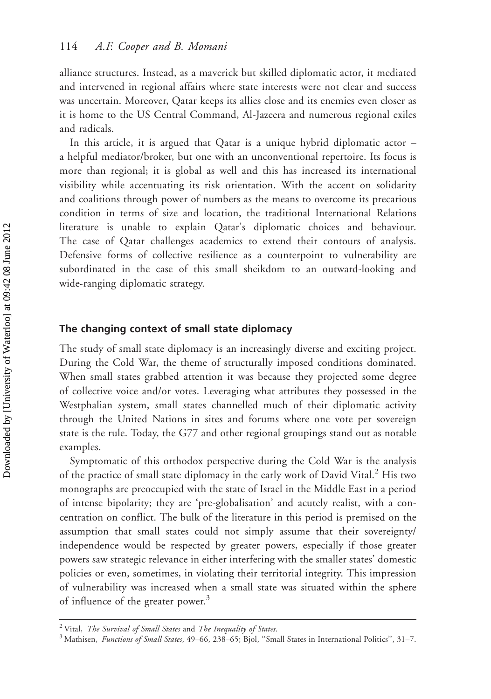alliance structures. Instead, as a maverick but skilled diplomatic actor, it mediated and intervened in regional affairs where state interests were not clear and success was uncertain. Moreover, Qatar keeps its allies close and its enemies even closer as it is home to the US Central Command, Al-Jazeera and numerous regional exiles and radicals.

In this article, it is argued that Qatar is a unique hybrid diplomatic actor – a helpful mediator/broker, but one with an unconventional repertoire. Its focus is more than regional; it is global as well and this has increased its international visibility while accentuating its risk orientation. With the accent on solidarity and coalitions through power of numbers as the means to overcome its precarious condition in terms of size and location, the traditional International Relations literature is unable to explain Qatar's diplomatic choices and behaviour. The case of Qatar challenges academics to extend their contours of analysis. Defensive forms of collective resilience as a counterpoint to vulnerability are subordinated in the case of this small sheikdom to an outward-looking and wide-ranging diplomatic strategy.

#### The changing context of small state diplomacy

The study of small state diplomacy is an increasingly diverse and exciting project. During the Cold War, the theme of structurally imposed conditions dominated. When small states grabbed attention it was because they projected some degree of collective voice and/or votes. Leveraging what attributes they possessed in the Westphalian system, small states channelled much of their diplomatic activity through the United Nations in sites and forums where one vote per sovereign state is the rule. Today, the G77 and other regional groupings stand out as notable examples.

Symptomatic of this orthodox perspective during the Cold War is the analysis of the practice of small state diplomacy in the early work of David Vital.<sup>2</sup> His two monographs are preoccupied with the state of Israel in the Middle East in a period of intense bipolarity; they are 'pre-globalisation' and acutely realist, with a concentration on conflict. The bulk of the literature in this period is premised on the assumption that small states could not simply assume that their sovereignty/ independence would be respected by greater powers, especially if those greater powers saw strategic relevance in either interfering with the smaller states' domestic policies or even, sometimes, in violating their territorial integrity. This impression of vulnerability was increased when a small state was situated within the sphere of influence of the greater power.<sup>3</sup>

<sup>&</sup>lt;sup>2</sup> Vital, *The Survival of Small States* and *The Inequality of States*.<br><sup>3</sup> Mathisen, *Functions of Small States*, 49–66, 238–65; Bjol, "Small States in International Politics", 31–7.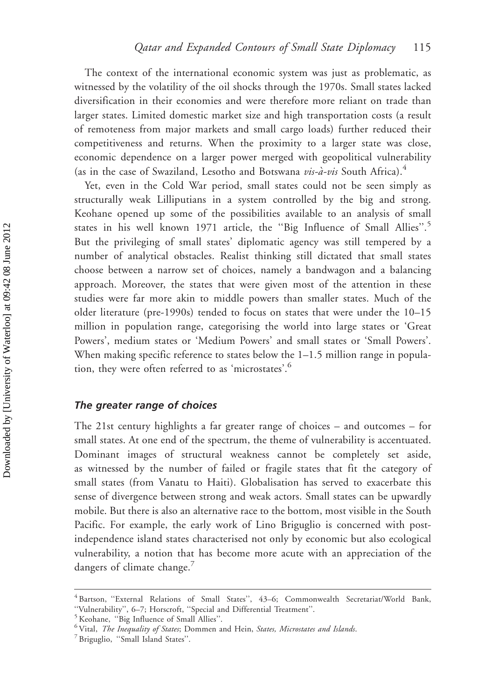The context of the international economic system was just as problematic, as witnessed by the volatility of the oil shocks through the 1970s. Small states lacked diversification in their economies and were therefore more reliant on trade than larger states. Limited domestic market size and high transportation costs (a result of remoteness from major markets and small cargo loads) further reduced their competitiveness and returns. When the proximity to a larger state was close, economic dependence on a larger power merged with geopolitical vulnerability (as in the case of Swaziland, Lesotho and Botswana *vis-à-vis* South Africa).<sup>4</sup>

Yet, even in the Cold War period, small states could not be seen simply as structurally weak Lilliputians in a system controlled by the big and strong. Keohane opened up some of the possibilities available to an analysis of small states in his well known 1971 article, the "Big Influence of Small Allies".<sup>5</sup> But the privileging of small states' diplomatic agency was still tempered by a number of analytical obstacles. Realist thinking still dictated that small states choose between a narrow set of choices, namely a bandwagon and a balancing approach. Moreover, the states that were given most of the attention in these studies were far more akin to middle powers than smaller states. Much of the older literature (pre-1990s) tended to focus on states that were under the 10–15 million in population range, categorising the world into large states or 'Great Powers', medium states or 'Medium Powers' and small states or 'Small Powers'. When making specific reference to states below the 1–1.5 million range in population, they were often referred to as 'microstates'.<sup>6</sup>

# The greater range of choices

The 21st century highlights a far greater range of choices – and outcomes – for small states. At one end of the spectrum, the theme of vulnerability is accentuated. Dominant images of structural weakness cannot be completely set aside, as witnessed by the number of failed or fragile states that fit the category of small states (from Vanatu to Haiti). Globalisation has served to exacerbate this sense of divergence between strong and weak actors. Small states can be upwardly mobile. But there is also an alternative race to the bottom, most visible in the South Pacific. For example, the early work of Lino Briguglio is concerned with postindependence island states characterised not only by economic but also ecological vulnerability, a notion that has become more acute with an appreciation of the dangers of climate change.<sup>7</sup>

<sup>4</sup> Bartson, ''External Relations of Small States'', 43–6; Commonwealth Secretariat/World Bank, ''Vulnerability'', 6–7; Horscroft, ''Special and Differential Treatment''. <sup>5</sup> Keohane, ''Big Influence of Small Allies''.

<sup>&</sup>lt;sup>6</sup> Vital, *The Inequality of States*; Dommen and Hein, *States, Microstates and Islands*. <sup>7</sup> Briguglio, "Small Island States".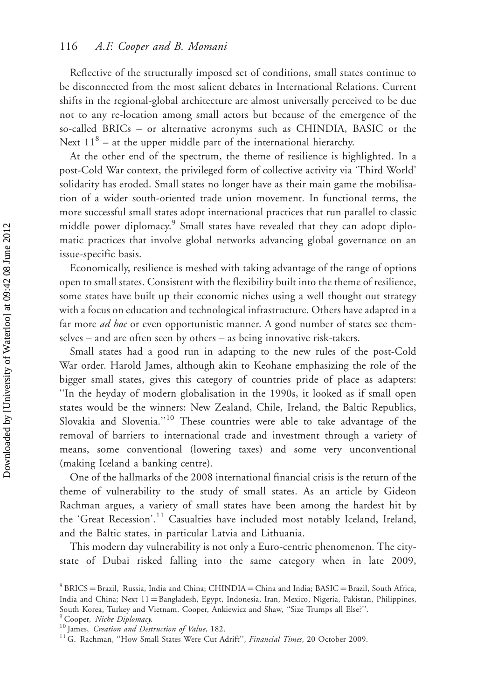Reflective of the structurally imposed set of conditions, small states continue to be disconnected from the most salient debates in International Relations. Current shifts in the regional-global architecture are almost universally perceived to be due not to any re-location among small actors but because of the emergence of the so-called BRICs – or alternative acronyms such as CHINDIA, BASIC or the Next  $11<sup>8</sup>$  – at the upper middle part of the international hierarchy.

At the other end of the spectrum, the theme of resilience is highlighted. In a post-Cold War context, the privileged form of collective activity via 'Third World' solidarity has eroded. Small states no longer have as their main game the mobilisation of a wider south-oriented trade union movement. In functional terms, the more successful small states adopt international practices that run parallel to classic middle power diplomacy.<sup>9</sup> Small states have revealed that they can adopt diplomatic practices that involve global networks advancing global governance on an issue-specific basis.

Economically, resilience is meshed with taking advantage of the range of options open to small states. Consistent with the flexibility built into the theme of resilience, some states have built up their economic niches using a well thought out strategy with a focus on education and technological infrastructure. Others have adapted in a far more *ad hoc* or even opportunistic manner. A good number of states see themselves – and are often seen by others – as being innovative risk-takers.

Small states had a good run in adapting to the new rules of the post-Cold War order. Harold James, although akin to Keohane emphasizing the role of the bigger small states, gives this category of countries pride of place as adapters: ''In the heyday of modern globalisation in the 1990s, it looked as if small open states would be the winners: New Zealand, Chile, Ireland, the Baltic Republics, Slovakia and Slovenia.''<sup>10</sup> These countries were able to take advantage of the removal of barriers to international trade and investment through a variety of means, some conventional (lowering taxes) and some very unconventional (making Iceland a banking centre).

One of the hallmarks of the 2008 international financial crisis is the return of the theme of vulnerability to the study of small states. As an article by Gideon Rachman argues, a variety of small states have been among the hardest hit by the 'Great Recession'.<sup>11</sup> Casualties have included most notably Iceland, Ireland, and the Baltic states, in particular Latvia and Lithuania.

This modern day vulnerability is not only a Euro-centric phenomenon. The citystate of Dubai risked falling into the same category when in late 2009,

 $8$  BRICS = Brazil, Russia, India and China; CHINDIA = China and India; BASIC = Brazil, South Africa, India and China; Next 11 = Bangladesh, Egypt, Indonesia, Iran, Mexico, Nigeria, Pakistan, Philippines, South Korea, Turkey and Vietnam. Cooper, Ankiewicz and Shaw, ''Size Trumps all Else?''.

<sup>&</sup>lt;sup>9</sup> Cooper, *Niche Diplomacy.*<br><sup>10</sup> James, *Creation and Destruction of Value*, 182.<br><sup>11</sup> G. Rachman, ''How Small States Were Cut Adrift'', *Financial Times*, 20 October 2009.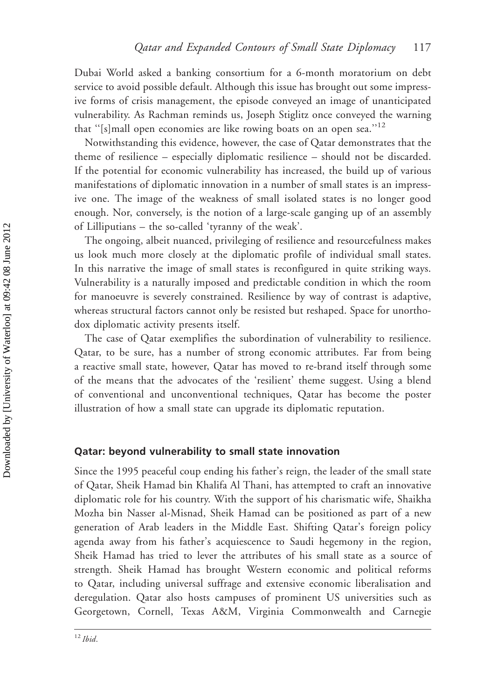Dubai World asked a banking consortium for a 6-month moratorium on debt service to avoid possible default. Although this issue has brought out some impressive forms of crisis management, the episode conveyed an image of unanticipated vulnerability. As Rachman reminds us, Joseph Stiglitz once conveyed the warning that ''[s]mall open economies are like rowing boats on an open sea.''<sup>12</sup>

Notwithstanding this evidence, however, the case of Qatar demonstrates that the theme of resilience – especially diplomatic resilience – should not be discarded. If the potential for economic vulnerability has increased, the build up of various manifestations of diplomatic innovation in a number of small states is an impressive one. The image of the weakness of small isolated states is no longer good enough. Nor, conversely, is the notion of a large-scale ganging up of an assembly of Lilliputians – the so-called 'tyranny of the weak'.

The ongoing, albeit nuanced, privileging of resilience and resourcefulness makes us look much more closely at the diplomatic profile of individual small states. In this narrative the image of small states is reconfigured in quite striking ways. Vulnerability is a naturally imposed and predictable condition in which the room for manoeuvre is severely constrained. Resilience by way of contrast is adaptive, whereas structural factors cannot only be resisted but reshaped. Space for unorthodox diplomatic activity presents itself.

The case of Qatar exemplifies the subordination of vulnerability to resilience. Qatar, to be sure, has a number of strong economic attributes. Far from being a reactive small state, however, Qatar has moved to re-brand itself through some of the means that the advocates of the 'resilient' theme suggest. Using a blend of conventional and unconventional techniques, Qatar has become the poster illustration of how a small state can upgrade its diplomatic reputation.

# Qatar: beyond vulnerability to small state innovation

Since the 1995 peaceful coup ending his father's reign, the leader of the small state of Qatar, Sheik Hamad bin Khalifa Al Thani, has attempted to craft an innovative diplomatic role for his country. With the support of his charismatic wife, Shaikha Mozha bin Nasser al-Misnad, Sheik Hamad can be positioned as part of a new generation of Arab leaders in the Middle East. Shifting Qatar's foreign policy agenda away from his father's acquiescence to Saudi hegemony in the region, Sheik Hamad has tried to lever the attributes of his small state as a source of strength. Sheik Hamad has brought Western economic and political reforms to Qatar, including universal suffrage and extensive economic liberalisation and deregulation. Qatar also hosts campuses of prominent US universities such as Georgetown, Cornell, Texas A&M, Virginia Commonwealth and Carnegie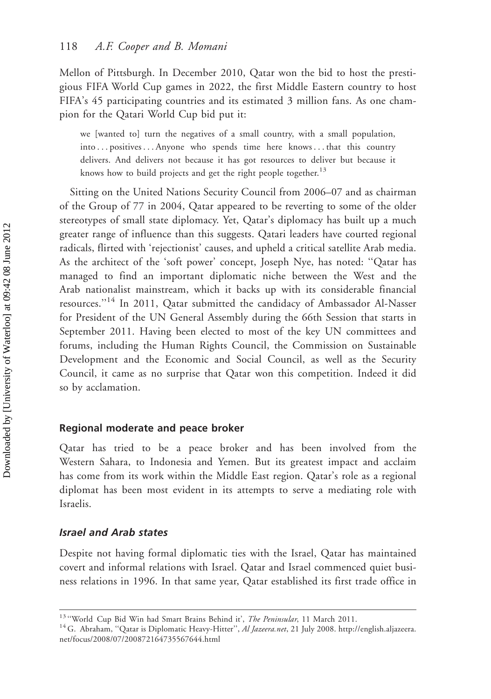Mellon of Pittsburgh. In December 2010, Qatar won the bid to host the prestigious FIFA World Cup games in 2022, the first Middle Eastern country to host FIFA's 45 participating countries and its estimated 3 million fans. As one champion for the Qatari World Cup bid put it:

we [wanted to] turn the negatives of a small country, with a small population, into ... positives ... Anyone who spends time here knows ... that this country delivers. And delivers not because it has got resources to deliver but because it knows how to build projects and get the right people together.<sup>13</sup>

Sitting on the United Nations Security Council from 2006–07 and as chairman of the Group of 77 in 2004, Qatar appeared to be reverting to some of the older stereotypes of small state diplomacy. Yet, Qatar's diplomacy has built up a much greater range of influence than this suggests. Qatari leaders have courted regional radicals, flirted with 'rejectionist' causes, and upheld a critical satellite Arab media. As the architect of the 'soft power' concept, Joseph Nye, has noted: ''Qatar has managed to find an important diplomatic niche between the West and the Arab nationalist mainstream, which it backs up with its considerable financial resources."<sup>14</sup> In 2011, Qatar submitted the candidacy of Ambassador Al-Nasser for President of the UN General Assembly during the 66th Session that starts in September 2011. Having been elected to most of the key UN committees and forums, including the Human Rights Council, the Commission on Sustainable Development and the Economic and Social Council, as well as the Security Council, it came as no surprise that Qatar won this competition. Indeed it did so by acclamation.

#### Regional moderate and peace broker

Qatar has tried to be a peace broker and has been involved from the Western Sahara, to Indonesia and Yemen. But its greatest impact and acclaim has come from its work within the Middle East region. Qatar's role as a regional diplomat has been most evident in its attempts to serve a mediating role with Israelis.

#### Israel and Arab states

Despite not having formal diplomatic ties with the Israel, Qatar has maintained covert and informal relations with Israel. Qatar and Israel commenced quiet business relations in 1996. In that same year, Qatar established its first trade office in

<sup>&</sup>lt;sup>13</sup> ''World Cup Bid Win had Smart Brains Behind it', *The Peninsular*, 11 March 2011.<br><sup>14</sup> G. Abraham, ''Qatar is Diplomatic Heavy-Hitter'', *Al Jazeera.net*, 21 July 2008. http://english.aljazeera. net/focus/2008/07/200872164735567644.html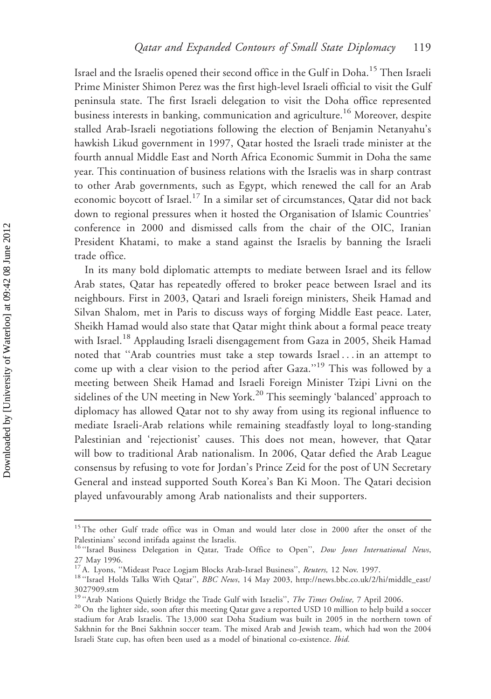Israel and the Israelis opened their second office in the Gulf in Doha.<sup>15</sup> Then Israeli Prime Minister Shimon Perez was the first high-level Israeli official to visit the Gulf peninsula state. The first Israeli delegation to visit the Doha office represented business interests in banking, communication and agriculture.<sup>16</sup> Moreover, despite stalled Arab-Israeli negotiations following the election of Benjamin Netanyahu's hawkish Likud government in 1997, Qatar hosted the Israeli trade minister at the fourth annual Middle East and North Africa Economic Summit in Doha the same year. This continuation of business relations with the Israelis was in sharp contrast to other Arab governments, such as Egypt, which renewed the call for an Arab economic boycott of Israel.<sup>17</sup> In a similar set of circumstances, Qatar did not back down to regional pressures when it hosted the Organisation of Islamic Countries' conference in 2000 and dismissed calls from the chair of the OIC, Iranian President Khatami, to make a stand against the Israelis by banning the Israeli trade office.

In its many bold diplomatic attempts to mediate between Israel and its fellow Arab states, Qatar has repeatedly offered to broker peace between Israel and its neighbours. First in 2003, Qatari and Israeli foreign ministers, Sheik Hamad and Silvan Shalom, met in Paris to discuss ways of forging Middle East peace. Later, Sheikh Hamad would also state that Qatar might think about a formal peace treaty with Israel.<sup>18</sup> Applauding Israeli disengagement from Gaza in 2005, Sheik Hamad noted that ''Arab countries must take a step towards Israel ... in an attempt to come up with a clear vision to the period after Gaza."<sup>19</sup> This was followed by a meeting between Sheik Hamad and Israeli Foreign Minister Tzipi Livni on the sidelines of the UN meeting in New York.<sup>20</sup> This seemingly 'balanced' approach to diplomacy has allowed Qatar not to shy away from using its regional influence to mediate Israeli-Arab relations while remaining steadfastly loyal to long-standing Palestinian and 'rejectionist' causes. This does not mean, however, that Qatar will bow to traditional Arab nationalism. In 2006, Qatar defied the Arab League consensus by refusing to vote for Jordan's Prince Zeid for the post of UN Secretary General and instead supported South Korea's Ban Ki Moon. The Qatari decision played unfavourably among Arab nationalists and their supporters.

<sup>&</sup>lt;sup>15</sup>The other Gulf trade office was in Oman and would later close in 2000 after the onset of the Palestinians' second intifada against the Israelis.

<sup>&</sup>lt;sup>16 "</sup>Israel Business Delegation in Qatar, Trade Office to Open", *Dow Jones International News*, 27 May 1996.<br><sup>17</sup> A. Lyons, "Mideast Peace Logjam Blocks Arab-Israel Business", *Reuters*, 12 Nov. 1997.

<sup>&</sup>lt;sup>18</sup> "Israel Holds Talks With Qatar", BBC News, 14 May 2003, http://news.bbc.co.uk/2/hi/middle\_east/ 3027909.stm<br><sup>19</sup> "Arab Nations Quietly Bridge the Trade Gulf with Israelis", *The Times Online*, 7 April 2006.

<sup>&</sup>lt;sup>20</sup> On the lighter side, soon after this meeting Qatar gave a reported USD 10 million to help build a soccer stadium for Arab Israelis. The 13,000 seat Doha Stadium was built in 2005 in the northern town of Sakhnin for the Bnei Sakhnin soccer team. The mixed Arab and Jewish team, which had won the 2004 Israeli State cup, has often been used as a model of binational co-existence. Ibid.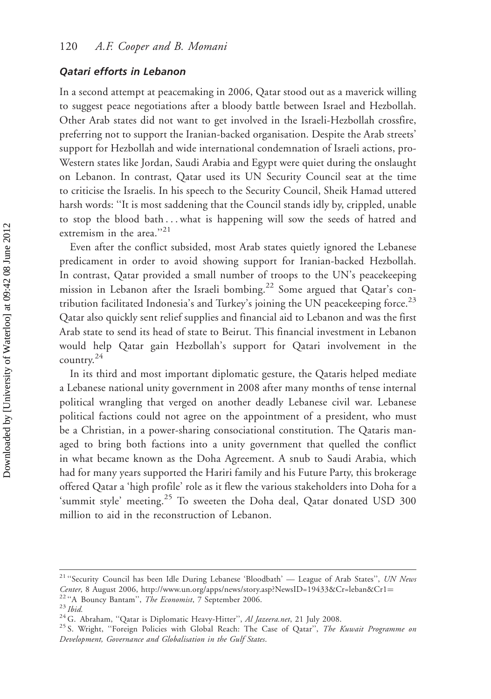#### Qatari efforts in Lebanon

In a second attempt at peacemaking in 2006, Qatar stood out as a maverick willing to suggest peace negotiations after a bloody battle between Israel and Hezbollah. Other Arab states did not want to get involved in the Israeli-Hezbollah crossfire, preferring not to support the Iranian-backed organisation. Despite the Arab streets' support for Hezbollah and wide international condemnation of Israeli actions, pro-Western states like Jordan, Saudi Arabia and Egypt were quiet during the onslaught on Lebanon. In contrast, Qatar used its UN Security Council seat at the time to criticise the Israelis. In his speech to the Security Council, Sheik Hamad uttered harsh words: ''It is most saddening that the Council stands idly by, crippled, unable to stop the blood bath ... what is happening will sow the seeds of hatred and extremism in the area."<sup>21</sup>

Even after the conflict subsided, most Arab states quietly ignored the Lebanese predicament in order to avoid showing support for Iranian-backed Hezbollah. In contrast, Qatar provided a small number of troops to the UN's peacekeeping mission in Lebanon after the Israeli bombing.<sup>22</sup> Some argued that Qatar's contribution facilitated Indonesia's and Turkey's joining the UN peacekeeping force.<sup>23</sup> Qatar also quickly sent relief supplies and financial aid to Lebanon and was the first Arab state to send its head of state to Beirut. This financial investment in Lebanon would help Qatar gain Hezbollah's support for Qatari involvement in the country.<sup>24</sup>

In its third and most important diplomatic gesture, the Qataris helped mediate a Lebanese national unity government in 2008 after many months of tense internal political wrangling that verged on another deadly Lebanese civil war. Lebanese political factions could not agree on the appointment of a president, who must be a Christian, in a power-sharing consociational constitution. The Qataris managed to bring both factions into a unity government that quelled the conflict in what became known as the Doha Agreement. A snub to Saudi Arabia, which had for many years supported the Hariri family and his Future Party, this brokerage offered Qatar a 'high profile' role as it flew the various stakeholders into Doha for a 'summit style' meeting.<sup>25</sup> To sweeten the Doha deal, Qatar donated USD 300 million to aid in the reconstruction of Lebanon.

<sup>&</sup>lt;sup>21</sup> "Security Council has been Idle During Lebanese 'Bloodbath' — League of Arab States", UN News Center, 8 August 2006, http://www.un.org/apps/news/story.asp?NewsID=19433&Cr=leban&Cr1=<br><sup>22</sup> "A Bouncy Bantam", *The Economist*, 7 September 2006.<br><sup>23</sup> Ibid.<br><sup>24</sup> G. Abraham, "Qatar is Diplomatic Heavy-Hitter", *Al Jazeera* 

Development, Governance and Globalisation in the Gulf States.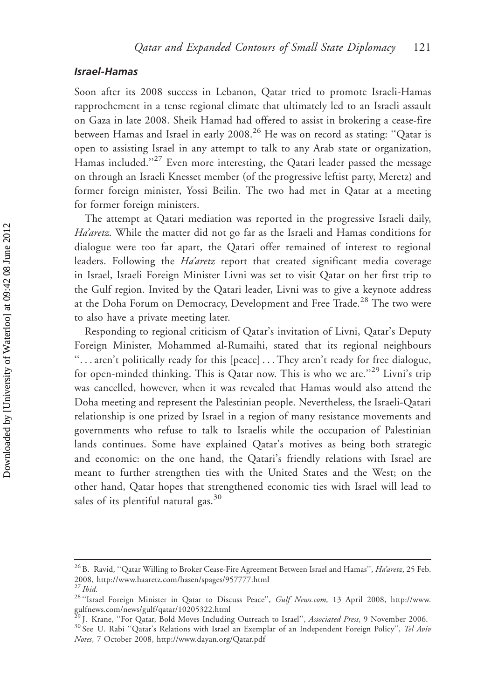# Israel-Hamas

Soon after its 2008 success in Lebanon, Qatar tried to promote Israeli-Hamas rapprochement in a tense regional climate that ultimately led to an Israeli assault on Gaza in late 2008. Sheik Hamad had offered to assist in brokering a cease-fire between Hamas and Israel in early 2008.<sup>26</sup> He was on record as stating: "Qatar is open to assisting Israel in any attempt to talk to any Arab state or organization, Hamas included."<sup>27</sup> Even more interesting, the Qatari leader passed the message on through an Israeli Knesset member (of the progressive leftist party, Meretz) and former foreign minister, Yossi Beilin. The two had met in Qatar at a meeting for former foreign ministers.

The attempt at Qatari mediation was reported in the progressive Israeli daily, Ha'aretz. While the matter did not go far as the Israeli and Hamas conditions for dialogue were too far apart, the Qatari offer remained of interest to regional leaders. Following the Ha'aretz report that created significant media coverage in Israel, Israeli Foreign Minister Livni was set to visit Qatar on her first trip to the Gulf region. Invited by the Qatari leader, Livni was to give a keynote address at the Doha Forum on Democracy, Development and Free Trade.<sup>28</sup> The two were to also have a private meeting later.

Responding to regional criticism of Qatar's invitation of Livni, Qatar's Deputy Foreign Minister, Mohammed al-Rumaihi, stated that its regional neighbours ''... aren't politically ready for this [peace] ... They aren't ready for free dialogue, for open-minded thinking. This is Qatar now. This is who we are.''<sup>29</sup> Livni's trip was cancelled, however, when it was revealed that Hamas would also attend the Doha meeting and represent the Palestinian people. Nevertheless, the Israeli-Qatari relationship is one prized by Israel in a region of many resistance movements and governments who refuse to talk to Israelis while the occupation of Palestinian lands continues. Some have explained Qatar's motives as being both strategic and economic: on the one hand, the Qatari's friendly relations with Israel are meant to further strengthen ties with the United States and the West; on the other hand, Qatar hopes that strengthened economic ties with Israel will lead to sales of its plentiful natural gas.<sup>30</sup>

<sup>&</sup>lt;sup>26</sup> B. Ravid, "Qatar Willing to Broker Cease-Fire Agreement Between Israel and Hamas", *Ha'aretz*, 25 Feb. 2008, http://www.haaretz.com/hasen/spages/957777.html<br><sup>27</sup> Ibid.<br><sup>28</sup> ''Israel Foreign Minister in Qatar to Discuss Peace'', *Gulf News.com*, 13 April 2008, http://www.

gulfnews.com/news/gulf/qatar/10205322.html

<sup>&</sup>lt;sup>29</sup> J. Krane, "For Qatar, Bold Moves Including Outreach to Israel", *Associated Press*, 9 November 2006.<br><sup>30</sup> See U. Rabi "Qatar's Relations with Israel an Exemplar of an Independent Foreign Policy", *Tel Aviv* Notes, 7 October 2008, http://www.dayan.org/Qatar.pdf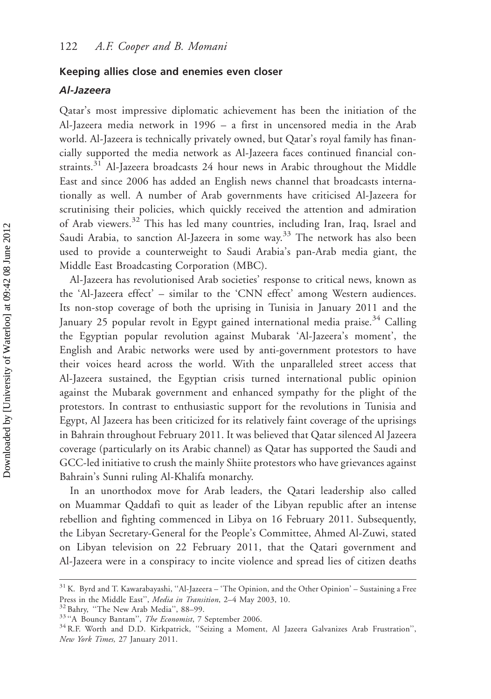### Keeping allies close and enemies even closer

#### Al-Jazeera

Qatar's most impressive diplomatic achievement has been the initiation of the Al-Jazeera media network in 1996 – a first in uncensored media in the Arab world. Al-Jazeera is technically privately owned, but Qatar's royal family has financially supported the media network as Al-Jazeera faces continued financial constraints.<sup>31</sup> Al-Jazeera broadcasts 24 hour news in Arabic throughout the Middle East and since 2006 has added an English news channel that broadcasts internationally as well. A number of Arab governments have criticised Al-Jazeera for scrutinising their policies, which quickly received the attention and admiration of Arab viewers.<sup>32</sup> This has led many countries, including Iran, Iraq, Israel and Saudi Arabia, to sanction Al-Jazeera in some way.<sup>33</sup> The network has also been used to provide a counterweight to Saudi Arabia's pan-Arab media giant, the Middle East Broadcasting Corporation (MBC).

Al-Jazeera has revolutionised Arab societies' response to critical news, known as the 'Al-Jazeera effect' – similar to the 'CNN effect' among Western audiences. Its non-stop coverage of both the uprising in Tunisia in January 2011 and the January 25 popular revolt in Egypt gained international media praise.<sup>34</sup> Calling the Egyptian popular revolution against Mubarak 'Al-Jazeera's moment', the English and Arabic networks were used by anti-government protestors to have their voices heard across the world. With the unparalleled street access that Al-Jazeera sustained, the Egyptian crisis turned international public opinion against the Mubarak government and enhanced sympathy for the plight of the protestors. In contrast to enthusiastic support for the revolutions in Tunisia and Egypt, Al Jazeera has been criticized for its relatively faint coverage of the uprisings in Bahrain throughout February 2011. It was believed that Qatar silenced Al Jazeera coverage (particularly on its Arabic channel) as Qatar has supported the Saudi and GCC-led initiative to crush the mainly Shiite protestors who have grievances against Bahrain's Sunni ruling Al-Khalifa monarchy.

In an unorthodox move for Arab leaders, the Qatari leadership also called on Muammar Qaddafi to quit as leader of the Libyan republic after an intense rebellion and fighting commenced in Libya on 16 February 2011. Subsequently, the Libyan Secretary-General for the People's Committee, Ahmed Al-Zuwi, stated on Libyan television on 22 February 2011, that the Qatari government and Al-Jazeera were in a conspiracy to incite violence and spread lies of citizen deaths

<sup>&</sup>lt;sup>31</sup> K. Byrd and T. Kawarabayashi, "Al-Jazeera – 'The Opinion, and the Other Opinion' – Sustaining a Free Press in the Middle East", *Media in Transition*, 2–4 May 2003, 10.<br><sup>32</sup> Bahry, "The New Arab Media", 88–99.<br><sup>33</sup> "A Bouncy Bantam", *The Economist*, 7 September 2006.<br><sup>34</sup> R.F. Worth and D.D. Kirkpatrick, "Seizing a Momen

New York Times, 27 January 2011.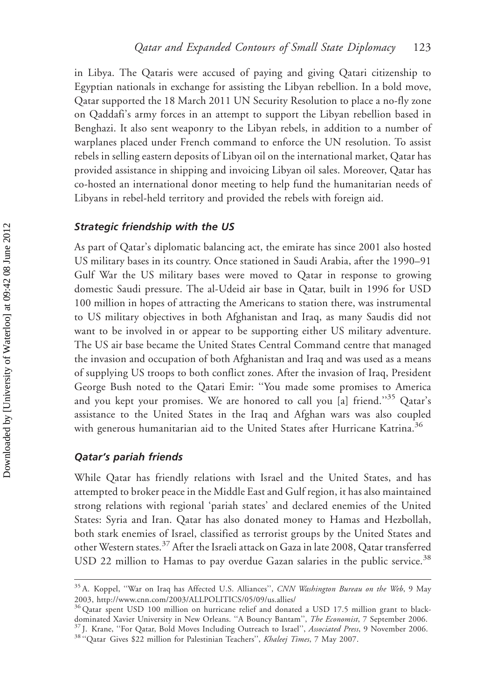in Libya. The Qataris were accused of paying and giving Qatari citizenship to Egyptian nationals in exchange for assisting the Libyan rebellion. In a bold move, Qatar supported the 18 March 2011 UN Security Resolution to place a no-fly zone on Qaddafi's army forces in an attempt to support the Libyan rebellion based in Benghazi. It also sent weaponry to the Libyan rebels, in addition to a number of warplanes placed under French command to enforce the UN resolution. To assist rebels in selling eastern deposits of Libyan oil on the international market, Qatar has provided assistance in shipping and invoicing Libyan oil sales. Moreover, Qatar has co-hosted an international donor meeting to help fund the humanitarian needs of Libyans in rebel-held territory and provided the rebels with foreign aid.

## Strategic friendship with the US

As part of Qatar's diplomatic balancing act, the emirate has since 2001 also hosted US military bases in its country. Once stationed in Saudi Arabia, after the 1990–91 Gulf War the US military bases were moved to Qatar in response to growing domestic Saudi pressure. The al-Udeid air base in Qatar, built in 1996 for USD 100 million in hopes of attracting the Americans to station there, was instrumental to US military objectives in both Afghanistan and Iraq, as many Saudis did not want to be involved in or appear to be supporting either US military adventure. The US air base became the United States Central Command centre that managed the invasion and occupation of both Afghanistan and Iraq and was used as a means of supplying US troops to both conflict zones. After the invasion of Iraq, President George Bush noted to the Qatari Emir: ''You made some promises to America and you kept your promises. We are honored to call you [a] friend."<sup>35</sup> Qatar's assistance to the United States in the Iraq and Afghan wars was also coupled with generous humanitarian aid to the United States after Hurricane Katrina.<sup>36</sup>

#### Qatar's pariah friends

While Qatar has friendly relations with Israel and the United States, and has attempted to broker peace in the Middle East and Gulf region, it has also maintained strong relations with regional 'pariah states' and declared enemies of the United States: Syria and Iran. Qatar has also donated money to Hamas and Hezbollah, both stark enemies of Israel, classified as terrorist groups by the United States and other Western states.<sup>37</sup> After the Israeli attack on Gaza in late 2008, Qatar transferred USD 22 million to Hamas to pay overdue Gazan salaries in the public service.<sup>38</sup>

<sup>&</sup>lt;sup>35</sup> A. Koppel, "War on Iraq has Affected U.S. Alliances", CNN Washington Bureau on the Web, 9 May 2003, http://www.cnn.com/2003/ALLPOLITICS/05/09/us.allies/

<sup>&</sup>lt;sup>36</sup> Qatar spent USD 100 million on hurricane relief and donated a USD 17.5 million grant to blackdominated Xavier University in New Orleans. "A Bouncy Bantam", *The Economist*, 7 September 2006.<br><sup>37</sup> J. Krane, "For Qatar, Bold Moves Including Outreach to Israel", *Associated Press*, 9 November 2006.<br><sup>38</sup> "Qatar Gives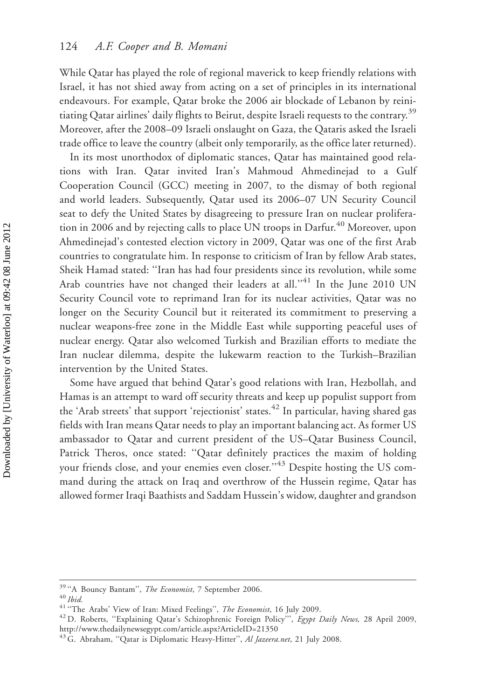While Qatar has played the role of regional maverick to keep friendly relations with Israel, it has not shied away from acting on a set of principles in its international endeavours. For example, Qatar broke the 2006 air blockade of Lebanon by reinitiating Qatar airlines' daily flights to Beirut, despite Israeli requests to the contrary.<sup>39</sup> Moreover, after the 2008–09 Israeli onslaught on Gaza, the Qataris asked the Israeli trade office to leave the country (albeit only temporarily, as the office later returned).

In its most unorthodox of diplomatic stances, Qatar has maintained good relations with Iran. Qatar invited Iran's Mahmoud Ahmedinejad to a Gulf Cooperation Council (GCC) meeting in 2007, to the dismay of both regional and world leaders. Subsequently, Qatar used its 2006–07 UN Security Council seat to defy the United States by disagreeing to pressure Iran on nuclear proliferation in 2006 and by rejecting calls to place UN troops in Darfur.<sup>40</sup> Moreover, upon Ahmedinejad's contested election victory in 2009, Qatar was one of the first Arab countries to congratulate him. In response to criticism of Iran by fellow Arab states, Sheik Hamad stated: ''Iran has had four presidents since its revolution, while some Arab countries have not changed their leaders at all."41 In the June 2010 UN Security Council vote to reprimand Iran for its nuclear activities, Qatar was no longer on the Security Council but it reiterated its commitment to preserving a nuclear weapons-free zone in the Middle East while supporting peaceful uses of nuclear energy. Qatar also welcomed Turkish and Brazilian efforts to mediate the Iran nuclear dilemma, despite the lukewarm reaction to the Turkish–Brazilian intervention by the United States.

Some have argued that behind Qatar's good relations with Iran, Hezbollah, and Hamas is an attempt to ward off security threats and keep up populist support from the 'Arab streets' that support 'rejectionist' states.<sup>42</sup> In particular, having shared gas fields with Iran means Qatar needs to play an important balancing act. As former US ambassador to Qatar and current president of the US–Qatar Business Council, Patrick Theros, once stated: ''Qatar definitely practices the maxim of holding your friends close, and your enemies even closer."<sup>43</sup> Despite hosting the US command during the attack on Iraq and overthrow of the Hussein regime, Qatar has allowed former Iraqi Baathists and Saddam Hussein's widow, daughter and grandson

<sup>&</sup>lt;sup>39</sup> "A Bouncy Bantam", *The Economist*, 7 September 2006.<br><sup>40</sup> Ibid.<br><sup>41</sup> "The Arabs' View of Iran: Mixed Feelings", *The Economist*, 16 July 2009.<br><sup>42</sup> D. Roberts, "Explaining Qatar's Schizophrenic Foreign Policy", *Egyp* http://www.thedailynewsegypt.com/article.aspx?ArticleID=21350<br><sup>43</sup> G. Abraham, "Qatar is Diplomatic Heavy-Hitter", Al Jazeera.net, 21 July 2008.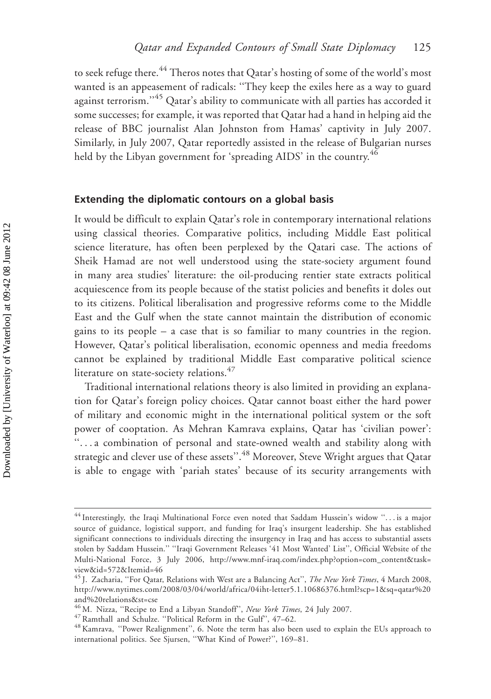to seek refuge there.<sup>44</sup> Theros notes that Qatar's hosting of some of the world's most wanted is an appeasement of radicals: ''They keep the exiles here as a way to guard against terrorism.''<sup>45</sup> Qatar's ability to communicate with all parties has accorded it some successes; for example, it was reported that Qatar had a hand in helping aid the release of BBC journalist Alan Johnston from Hamas' captivity in July 2007. Similarly, in July 2007, Qatar reportedly assisted in the release of Bulgarian nurses held by the Libyan government for 'spreading AIDS' in the country.<sup>46</sup>

### Extending the diplomatic contours on a global basis

It would be difficult to explain Qatar's role in contemporary international relations using classical theories. Comparative politics, including Middle East political science literature, has often been perplexed by the Qatari case. The actions of Sheik Hamad are not well understood using the state-society argument found in many area studies' literature: the oil-producing rentier state extracts political acquiescence from its people because of the statist policies and benefits it doles out to its citizens. Political liberalisation and progressive reforms come to the Middle East and the Gulf when the state cannot maintain the distribution of economic gains to its people – a case that is so familiar to many countries in the region. However, Qatar's political liberalisation, economic openness and media freedoms cannot be explained by traditional Middle East comparative political science literature on state-society relations.<sup>47</sup>

Traditional international relations theory is also limited in providing an explanation for Qatar's foreign policy choices. Qatar cannot boast either the hard power of military and economic might in the international political system or the soft power of cooptation. As Mehran Kamrava explains, Qatar has 'civilian power': ''... a combination of personal and state-owned wealth and stability along with strategic and clever use of these assets".<sup>48</sup> Moreover, Steve Wright argues that Qatar is able to engage with 'pariah states' because of its security arrangements with

<sup>&</sup>lt;sup>44</sup> Interestingly, the Iraqi Multinational Force even noted that Saddam Hussein's widow "... is a major source of guidance, logistical support, and funding for Iraq's insurgent leadership. She has established significant connections to individuals directing the insurgency in Iraq and has access to substantial assets stolen by Saddam Hussein.'' ''Iraqi Government Releases '41 Most Wanted' List'', Official Website of the Multi-National Force, 3 July 2006, http://www.mnf-iraq.com/index.php?option=com\_content&task= view&id=572&Itemid=46

<sup>&</sup>lt;sup>45</sup> J. Zacharia, "For Qatar, Relations with West are a Balancing Act", The New York Times, 4 March 2008, http://www.nytimes.com/2008/03/04/world/africa/04iht-letter5.1.10686376.html?scp=1&sq=qatar%20 and%20relations&st=cse<br><sup>46</sup> M. Nizza, "Recipe to End a Libyan Standoff", *New York Times*, 24 July 2007.

<sup>&</sup>lt;sup>47</sup> Ramthall and Schulze. "Political Reform in the Gulf",  $47-62$ .<br><sup>48</sup> Kamrava, "Power Realignment", 6. Note the term has also been used to explain the EUs approach to international politics. See Sjursen, ''What Kind of Power?'', 169–81.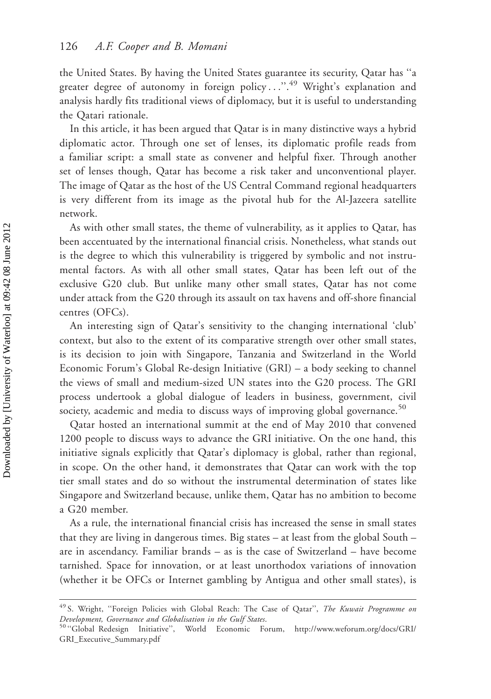the United States. By having the United States guarantee its security, Qatar has ''a greater degree of autonomy in foreign policy ...".<sup>49</sup> Wright's explanation and analysis hardly fits traditional views of diplomacy, but it is useful to understanding the Qatari rationale.

In this article, it has been argued that Qatar is in many distinctive ways a hybrid diplomatic actor. Through one set of lenses, its diplomatic profile reads from a familiar script: a small state as convener and helpful fixer. Through another set of lenses though, Qatar has become a risk taker and unconventional player. The image of Qatar as the host of the US Central Command regional headquarters is very different from its image as the pivotal hub for the Al-Jazeera satellite network.

As with other small states, the theme of vulnerability, as it applies to Qatar, has been accentuated by the international financial crisis. Nonetheless, what stands out is the degree to which this vulnerability is triggered by symbolic and not instrumental factors. As with all other small states, Qatar has been left out of the exclusive G20 club. But unlike many other small states, Qatar has not come under attack from the G20 through its assault on tax havens and off-shore financial centres (OFCs).

An interesting sign of Qatar's sensitivity to the changing international 'club' context, but also to the extent of its comparative strength over other small states, is its decision to join with Singapore, Tanzania and Switzerland in the World Economic Forum's Global Re-design Initiative (GRI) – a body seeking to channel the views of small and medium-sized UN states into the G20 process. The GRI process undertook a global dialogue of leaders in business, government, civil society, academic and media to discuss ways of improving global governance.<sup>50</sup>

Qatar hosted an international summit at the end of May 2010 that convened 1200 people to discuss ways to advance the GRI initiative. On the one hand, this initiative signals explicitly that Qatar's diplomacy is global, rather than regional, in scope. On the other hand, it demonstrates that Qatar can work with the top tier small states and do so without the instrumental determination of states like Singapore and Switzerland because, unlike them, Qatar has no ambition to become a G20 member.

As a rule, the international financial crisis has increased the sense in small states that they are living in dangerous times. Big states – at least from the global South – are in ascendancy. Familiar brands – as is the case of Switzerland – have become tarnished. Space for innovation, or at least unorthodox variations of innovation (whether it be OFCs or Internet gambling by Antigua and other small states), is

<sup>&</sup>lt;sup>49</sup> S. Wright, "Foreign Policies with Global Reach: The Case of Qatar", The Kuwait Programme on

Development, Governance and Globalisation in the Gulf States.<br><sup>50</sup> ''Global Redesign Initiative'', World Economic Forum, http://www.weforum.org/docs/GRI/ GRI\_Executive\_Summary.pdf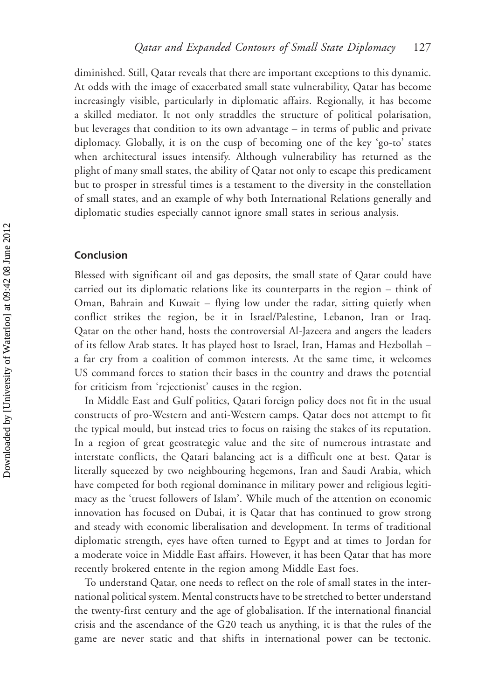diminished. Still, Qatar reveals that there are important exceptions to this dynamic. At odds with the image of exacerbated small state vulnerability, Qatar has become increasingly visible, particularly in diplomatic affairs. Regionally, it has become a skilled mediator. It not only straddles the structure of political polarisation, but leverages that condition to its own advantage – in terms of public and private diplomacy. Globally, it is on the cusp of becoming one of the key 'go-to' states when architectural issues intensify. Although vulnerability has returned as the plight of many small states, the ability of Qatar not only to escape this predicament but to prosper in stressful times is a testament to the diversity in the constellation of small states, and an example of why both International Relations generally and diplomatic studies especially cannot ignore small states in serious analysis.

#### Conclusion

Blessed with significant oil and gas deposits, the small state of Qatar could have carried out its diplomatic relations like its counterparts in the region – think of Oman, Bahrain and Kuwait – flying low under the radar, sitting quietly when conflict strikes the region, be it in Israel/Palestine, Lebanon, Iran or Iraq. Qatar on the other hand, hosts the controversial Al-Jazeera and angers the leaders of its fellow Arab states. It has played host to Israel, Iran, Hamas and Hezbollah – a far cry from a coalition of common interests. At the same time, it welcomes US command forces to station their bases in the country and draws the potential for criticism from 'rejectionist' causes in the region.

In Middle East and Gulf politics, Qatari foreign policy does not fit in the usual constructs of pro-Western and anti-Western camps. Qatar does not attempt to fit the typical mould, but instead tries to focus on raising the stakes of its reputation. In a region of great geostrategic value and the site of numerous intrastate and interstate conflicts, the Qatari balancing act is a difficult one at best. Qatar is literally squeezed by two neighbouring hegemons, Iran and Saudi Arabia, which have competed for both regional dominance in military power and religious legitimacy as the 'truest followers of Islam'. While much of the attention on economic innovation has focused on Dubai, it is Qatar that has continued to grow strong and steady with economic liberalisation and development. In terms of traditional diplomatic strength, eyes have often turned to Egypt and at times to Jordan for a moderate voice in Middle East affairs. However, it has been Qatar that has more recently brokered entente in the region among Middle East foes.

To understand Qatar, one needs to reflect on the role of small states in the international political system. Mental constructs have to be stretched to better understand the twenty-first century and the age of globalisation. If the international financial crisis and the ascendance of the G20 teach us anything, it is that the rules of the game are never static and that shifts in international power can be tectonic.